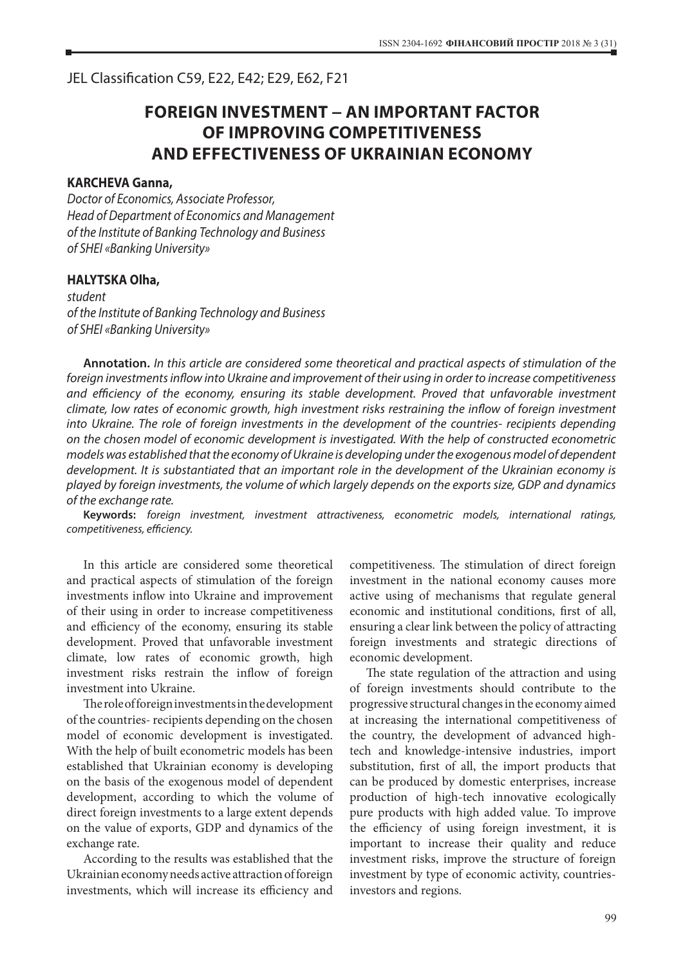JEL Classification С59, Е22, Е42; Е29, Е62, F21

## **FOREIGN INVESTMENT − AN IMPORTANT FACTOR OF IMPROVING COMPETITIVENESS AND EFFECTIVENESS OF UKRAINIAN ECONOMY**

## **KARCHEVA Ganna,**

*Doctor of Economics, Associate Professor, Head of Department of Economics and Management of the Institute of Banking Technology and Business of SHEI «Banking University»*

## **HALYTSKA Olha,**

*student of the Institute of Banking Technology and Business of SHEI «Banking University»*

**Annotation.** *In this article are considered some theoretical and practical aspects of stimulation of the foreign investments inflow into Ukraine and improvement of their using in order to increase competitiveness and efficiency of the economy, ensuring its stable development. Proved that unfavorable investment climate, low rates of economic growth, high investment risks restraining the inflow of foreign investment into Ukraine. The role of foreign investments in the development of the countries- recipients depending on the chosen model of economic development is investigated. With the help of constructed econometric models was established that the economy of Ukraine is developing under the exogenous model of dependent development. It is substantiated that an important role in the development of the Ukrainian economy is played by foreign investments, the volume of which largely depends on the exports size, GDP and dynamics of the exchange rate.*

**Keywords:** *foreign investment, investment attractiveness, econometric models, international ratings, competitiveness, efficiency.*

In this article are considered some theoretical and practical aspects of stimulation of the foreign investments inflow into Ukraine and improvement of their using in order to increase competitiveness and efficiency of the economy, ensuring its stable development. Proved that unfavorable investment climate, low rates of economic growth, high investment risks restrain the inflow of foreign investment into Ukraine.

The role of foreign investments in the development of the countries-recipients depending on the chosen model of economic development is investigated. With the help of built econometric models has been established that Ukrainian economy is developing on the basis of the exogenous model of dependent development, according to which the volume of direct foreign investments to a large extent depends on the value of exports, GDP and dynamics of the exchange rate.

According to the results was established that the Ukrainian economy needs active attraction of foreign investments, which will increase its efficiency and

competitiveness. The stimulation of direct foreign investment in the national economy causes more active using of mechanisms that regulate general economic and institutional conditions, first of all, ensuring a clear link between the policy of attracting foreign investments and strategic directions of economic development.

The state regulation of the attraction and using of foreign investments should contribute to the progressive structural changes in the economy aimed at increasing the international competitiveness of the country, the development of advanced hightech and knowledge-intensive industries, import substitution, first of all, the import products that can be produced by domestic enterprises, increase production of high-tech innovative ecologically pure products with high added value. To improve the efficiency of using foreign investment, it is important to increase their quality and reduce investment risks, improve the structure of foreign investment by type of economic activity, countriesinvestors and regions.